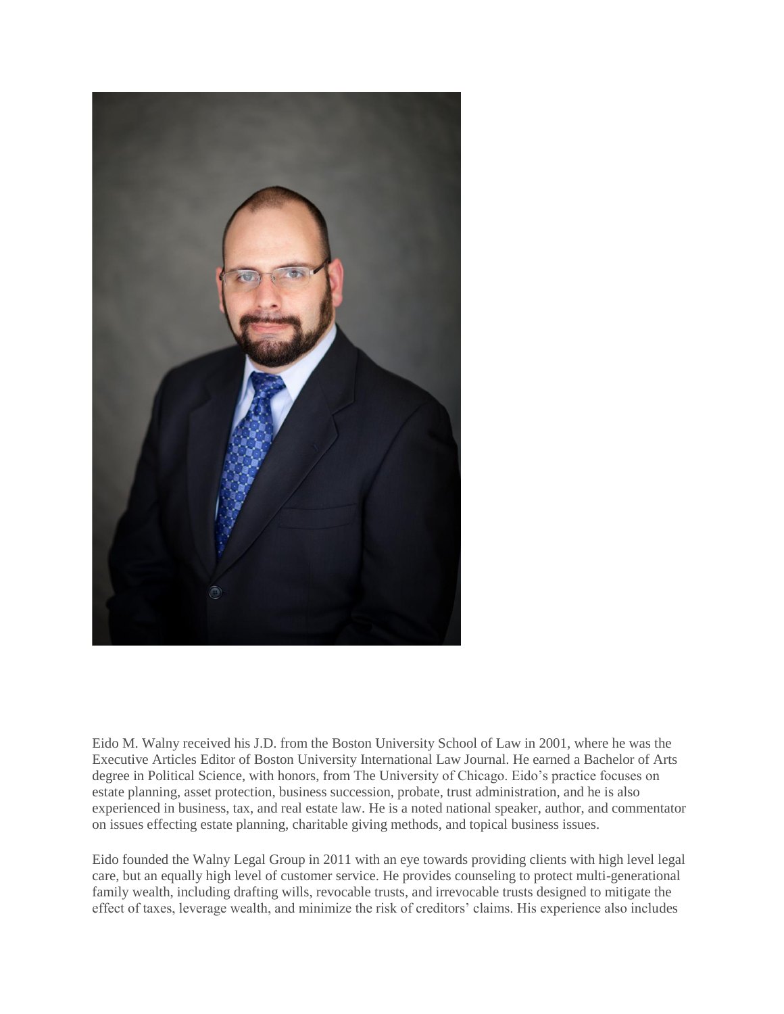

Eido M. Walny received his J.D. from the Boston University School of Law in 2001, where he was the Executive Articles Editor of Boston University International Law Journal. He earned a Bachelor of Arts degree in Political Science, with honors, from The University of Chicago. Eido's practice focuses on estate planning, asset protection, business succession, probate, trust administration, and he is also experienced in business, tax, and real estate law. He is a noted national speaker, author, and commentator on issues effecting estate planning, charitable giving methods, and topical business issues.

Eido founded the Walny Legal Group in 2011 with an eye towards providing clients with high level legal care, but an equally high level of customer service. He provides counseling to protect multi-generational family wealth, including drafting wills, revocable trusts, and irrevocable trusts designed to mitigate the effect of taxes, leverage wealth, and minimize the risk of creditors' claims. His experience also includes